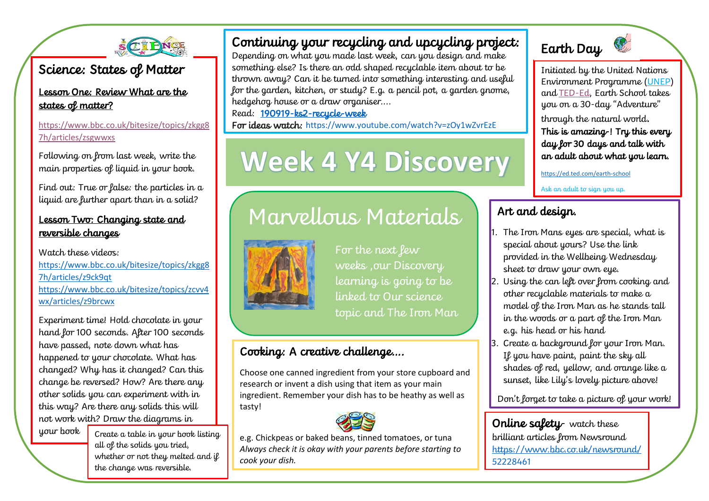

### Science: States of Matter

Lesson One: Review What are the states of matter?

[https://www.bbc.co.uk/bitesize/topics/zkgg8](https://www.bbc.co.uk/bitesize/topics/zkgg87h/articles/zsgwwxs) [7h/articles/zsgwwxs](https://www.bbc.co.uk/bitesize/topics/zkgg87h/articles/zsgwwxs)

Following on from last week, write the main properties of liquid in your book.

Find out: True or false: the particles in a liquid are further apart than in a solid?

### Lesson Two: Changing state and reversible changes

Watch these videos: [https://www.bbc.co.uk/bitesize/topics/zkgg8](https://www.bbc.co.uk/bitesize/topics/zkgg87h/articles/z9ck9qt) [7h/articles/z9ck9qt](https://www.bbc.co.uk/bitesize/topics/zkgg87h/articles/z9ck9qt) [https://www.bbc.co.uk/bitesize/topics/zcvv4](https://www.bbc.co.uk/bitesize/topics/zcvv4wx/articles/z9brcwx) [wx/articles/z9brcwx](https://www.bbc.co.uk/bitesize/topics/zcvv4wx/articles/z9brcwx)

Experiment time! Hold chocolate in your hand for 100 seconds. After 100 seconds have passed, note down what has happened to your chocolate. What has changed? Why has it changed? Can this change be reversed? How? Are there any other solids you can experiment with in this way? Are there any solids this will not work with? Draw the diagrams in

your book

Create a table in your book listing all of the solids you tried, whether or not they melted and if the change was reversible.

### Continuing your recycling and upcycling project:

Depending on what you made last week, can you design and make something else? Is there an odd shaped recyclable item about to be thrown away? Can it be turned into something interesting and useful for the garden, kitchen, or study? E.g. a pencil pot, a garden gnome, hedgehog house or a draw organiser....

### Read: [190919-ks2-recycle-week](file:///C:/Users/sally/Documents/18%20safeguarding/covid19/week%203/190919-ks2-recycle-week.pptx)

For ideas watch: <https://www.youtube.com/watch?v=zOy1wZvrEzE>

# **Week 4 Y4 Discovery**

## Marvellous Materials IS Materials. **Art and design.**



For the next lew weeks ,our Discovery learning is going to be linked to Our science topic and The Iron Man

### Cooking: A creative challenge….

Choose one canned ingredient from your store cupboard and research or invent a dish using that item as your main ingredient. Remember your dish has to be heathy as well as tasty!



e.g. Chickpeas or baked beans, tinned tomatoes, or tuna *Always check it is okay with your parents before starting to cook your dish.* 

# Earth Day

Initiated by the United Nations Environment Programme [\(UNEP\)](https://www.unenvironment.org/) and [TED-Ed,](https://ed.ted.com/) Earth School takes you on a 30-day "Adventure"

through the natural world. This is amazing-! Try this every day for 30 days and talk with an adult about what you learn.

<https://ed.ted.com/earth-school>

Ask an adult to sign you up.

- 1. The Iron Mans eyes are special, what is special about yours? Use the link provided in the Wellbeing Wednesday sheet to draw your own eye.
- 2. Using the can left over from cooking and other recyclable materials to make a model of the Iron Man as he stands tall in the woods or a part of the Iron Man e.g. his head or his hand
- 3. Create a background for your Iron Man. If you have paint, paint the sky all shades of red, yellow, and orange like a sunset, like Lily's lovely picture above!

Don't lorget to take a picture of your work!

Online safety- watch these brilliant articles from Newsround [https://www.bbc.co.uk/newsround/](https://www.bbc.co.uk/newsround/52228461) [52228461](https://www.bbc.co.uk/newsround/52228461)